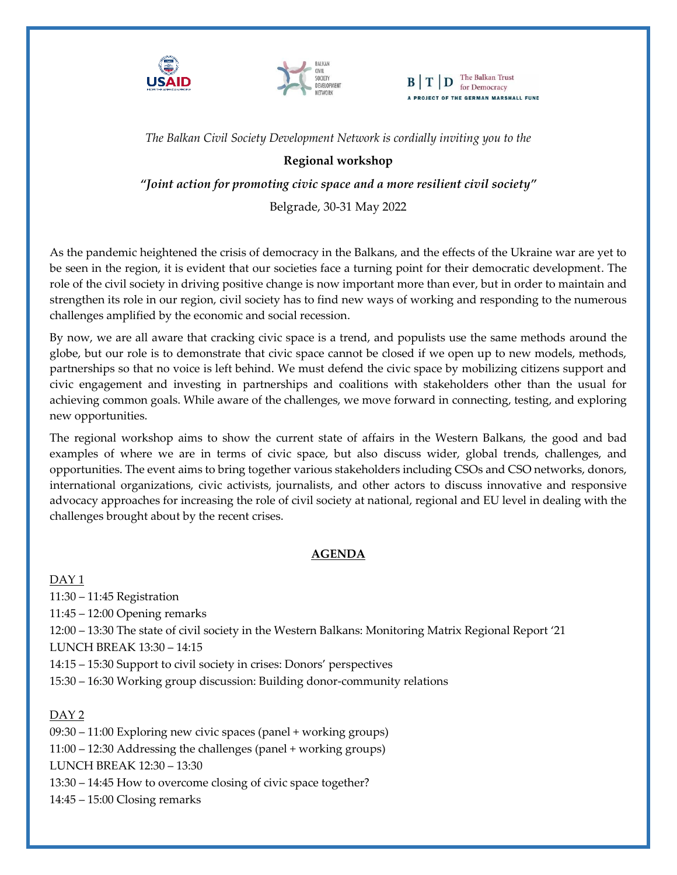



 $\mathbf{B} \mid \mathbf{T} \mid \mathbf{D}$  The Balkan Trust A PROJECT OF THE GERMAN MARSHALL FUND

*The Balkan Civil Society Development Network is cordially inviting you to the*

# **Regional workshop**

*"Joint action for promoting civic space and a more resilient civil society"*

Belgrade, 30-31 May 2022

As the pandemic heightened the crisis of democracy in the Balkans, and the effects of the Ukraine war are yet to be seen in the region, it is evident that our societies face a turning point for their democratic development. The role of the civil society in driving positive change is now important more than ever, but in order to maintain and strengthen its role in our region, civil society has to find new ways of working and responding to the numerous challenges amplified by the economic and social recession.

By now, we are all aware that cracking civic space is a trend, and populists use the same methods around the globe, but our role is to demonstrate that civic space cannot be closed if we open up to new models, methods, partnerships so that no voice is left behind. We must defend the civic space by mobilizing citizens support and civic engagement and investing in partnerships and coalitions with stakeholders other than the usual for achieving common goals. While aware of the challenges, we move forward in connecting, testing, and exploring new opportunities.

The regional workshop aims to show the current state of affairs in the Western Balkans, the good and bad examples of where we are in terms of civic space, but also discuss wider, global trends, challenges, and opportunities. The event aims to bring together various stakeholders including CSOs and CSO networks, donors, international organizations, civic activists, journalists, and other actors to discuss innovative and responsive advocacy approaches for increasing the role of civil society at national, regional and EU level in dealing with the challenges brought about by the recent crises.

# **AGENDA**

DAY 1 11:30 – 11:45 Registration 11:45 – 12:00 Opening remarks 12:00 – 13:30 The state of civil society in the Western Balkans: Monitoring Matrix Regional Report '21 LUNCH BREAK 13:30 – 14:15 14:15 – 15:30 Support to civil society in crises: Donors' perspectives 15:30 – 16:30 Working group discussion: Building donor-community relations

DAY 2 09:30 – 11:00 Exploring new civic spaces (panel + working groups) 11:00 – 12:30 Addressing the challenges (panel + working groups) LUNCH BREAK 12:30 – 13:30 13:30 – 14:45 How to overcome closing of civic space together? 14:45 – 15:00 Closing remarks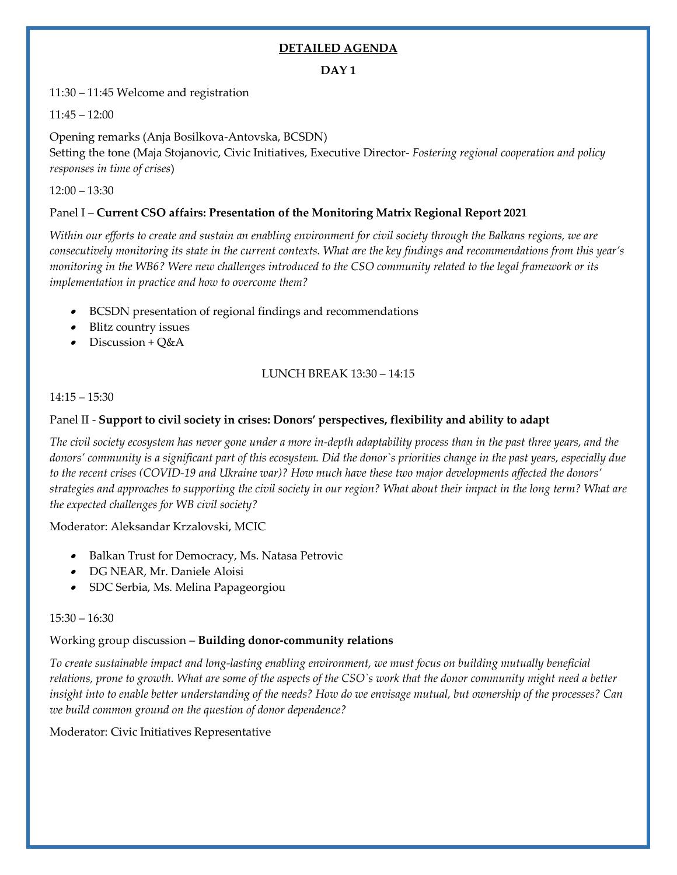# **DETAILED AGENDA**

# **DAY 1**

11:30 – 11:45 Welcome and registration

11:45 – 12:00

Opening remarks (Anja Bosilkova-Antovska, BCSDN) Setting the tone (Maja Stojanovic, Civic Initiatives, Executive Director- *Fostering regional cooperation and policy responses in time of crises*)

 $12:00 - 13:30$ 

# Panel I – **Current CSO affairs: Presentation of the Monitoring Matrix Regional Report 2021**

*Within our efforts to create and sustain an enabling environment for civil society through the Balkans regions, we are consecutively monitoring its state in the current contexts. What are the key findings and recommendations from this year's monitoring in the WB6? Were new challenges introduced to the CSO community related to the legal framework or its implementation in practice and how to overcome them?* 

- BCSDN presentation of regional findings and recommendations
- Blitz country issues
- Discussion +  $Q&A$

# LUNCH BREAK 13:30 – 14:15

### 14:15 – 15:30

# Panel II - **Support to civil society in crises: Donors' perspectives, flexibility and ability to adapt**

*The civil society ecosystem has never gone under a more in-depth adaptability process than in the past three years, and the donors' community is a significant part of this ecosystem. Did the donor`s priorities change in the past years, especially due to the recent crises (COVID-19 and Ukraine war)? How much have these two major developments affected the donors' strategies and approaches to supporting the civil society in our region? What about their impact in the long term? What are the expected challenges for WB civil society?* 

Moderator: Aleksandar Krzalovski, MCIC

- Balkan Trust for Democracy, Ms. Natasa Petrovic
- DG NEAR, Mr. Daniele Aloisi
- •SDC Serbia, Ms. Melina Papageorgiou

#### 15:30 – 16:30

# Working group discussion – **Building donor-community relations**

*To create sustainable impact and long-lasting enabling environment, we must focus on building mutually beneficial relations, prone to growth. What are some of the aspects of the CSO`s work that the donor community might need a better insight into to enable better understanding of the needs? How do we envisage mutual, but ownership of the processes? Can we build common ground on the question of donor dependence?* 

Moderator: Civic Initiatives Representative